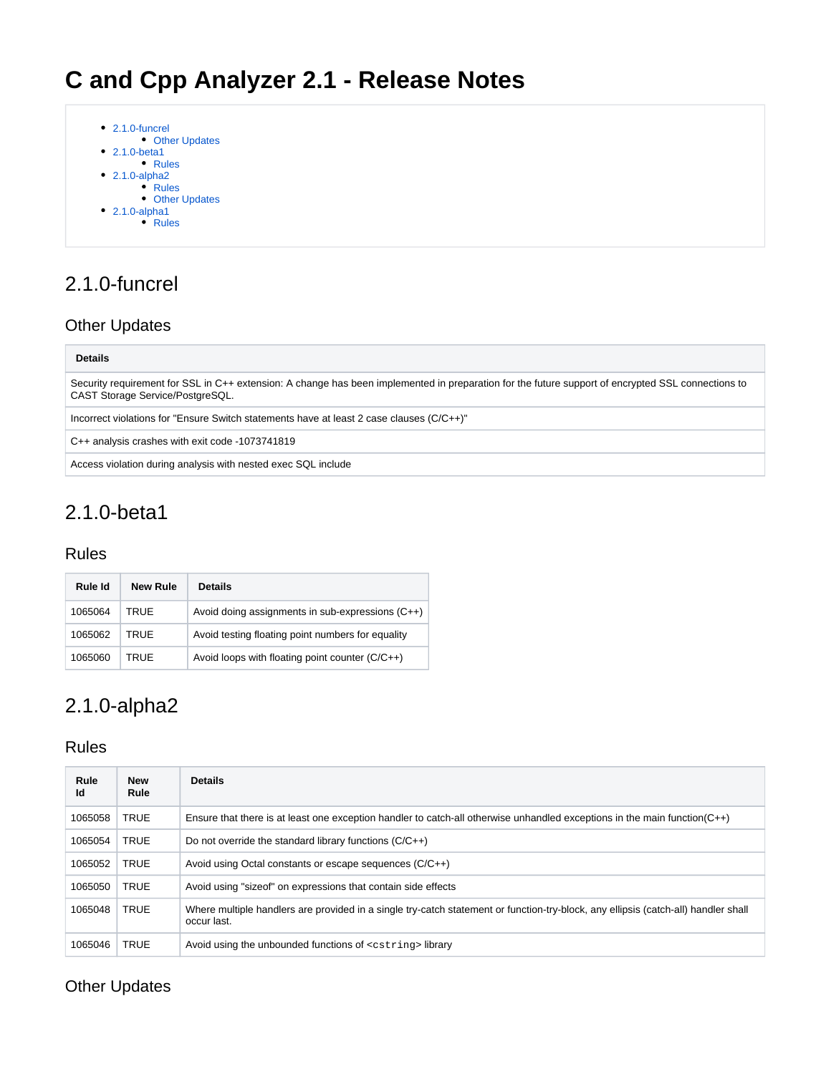| $\bullet$ 2.1.0-funcrel<br>• Other Updates |
|--------------------------------------------|
| $\bullet$ 2.1.0-beta1                      |
| $\bullet$ Rules                            |
| • 2.1.0-alpha2                             |
| $\bullet$ Rules                            |
| <b>Other Updates</b>                       |
| $\bullet$ 2.1.0-alpha1                     |
| <b>Rules</b>                               |
|                                            |

# <span id="page-0-0"></span>2.1.0-funcrel

## <span id="page-0-1"></span>Other Updates

#### **Details**

Security requirement for SSL in C++ extension: A change has been implemented in preparation for the future support of encrypted SSL connections to CAST Storage Service/PostgreSQL.

Incorrect violations for "Ensure Switch statements have at least 2 case clauses (C/C++)"

C++ analysis crashes with exit code -1073741819

Access violation during analysis with nested exec SQL include

# <span id="page-0-2"></span>2.1.0-beta1

### <span id="page-0-3"></span>Rules

|  | Rule Id | New Rule | <b>Details</b>                                    |
|--|---------|----------|---------------------------------------------------|
|  | 1065064 | TRUF     | Avoid doing assignments in sub-expressions (C++)  |
|  | 1065062 | TRUF     | Avoid testing floating point numbers for equality |
|  | 1065060 | TRUF     | Avoid loops with floating point counter (C/C++)   |

## <span id="page-0-4"></span>2.1.0-alpha2

### <span id="page-0-5"></span>Rules

| Rule<br>Id                                                                                   | <b>New</b><br>Rule | <b>Details</b>                                                                                                                                    |  |
|----------------------------------------------------------------------------------------------|--------------------|---------------------------------------------------------------------------------------------------------------------------------------------------|--|
| 1065058                                                                                      | <b>TRUE</b>        | Ensure that there is at least one exception handler to catch-all otherwise unhandled exceptions in the main function $(C++)$                      |  |
| 1065054                                                                                      | <b>TRUE</b>        | Do not override the standard library functions $(C/C++)$                                                                                          |  |
| 1065052                                                                                      | <b>TRUE</b>        | Avoid using Octal constants or escape sequences (C/C++)                                                                                           |  |
| 1065050                                                                                      | <b>TRUE</b>        | Avoid using "size of" on expressions that contain side effects                                                                                    |  |
| 1065048                                                                                      | <b>TRUE</b>        | Where multiple handlers are provided in a single try-catch statement or function-try-block, any ellipsis (catch-all) handler shall<br>occur last. |  |
| <b>TRUE</b><br>Avoid using the unbounded functions of <cstring>library<br/>1065046</cstring> |                    |                                                                                                                                                   |  |

### <span id="page-0-6"></span>Other Updates